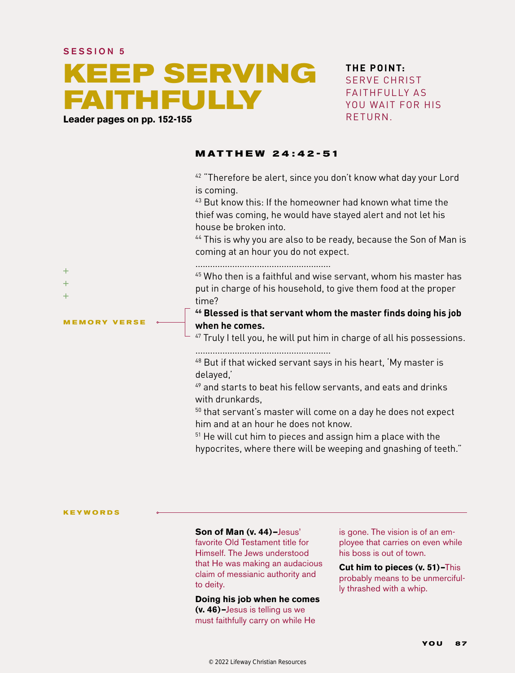#### SESSION 5

# **KEEP SERVING FAITHFULLY**

**Leader pages on pp. 152-155**

### **THE POINT:** SERVE CHRIST FAITHFULLY AS YOU WAIT FOR HIS RETURN.

### **MATTHEW 24 :42-51**

<sup>42</sup> "Therefore be alert, since you don't know what day your Lord is coming.

43 But know this: If the homeowner had known what time the thief was coming, he would have stayed alert and not let his house be broken into.

44 This is why you are also to be ready, because the Son of Man is coming at an hour you do not expect.

.......................................................

45 Who then is a faithful and wise servant, whom his master has put in charge of his household, to give them food at the proper time?

**46 Blessed is that servant whom the master finds doing his job when he comes.** 

47 Truly I tell you, he will put him in charge of all his possessions.

.......................................................

48 But if that wicked servant says in his heart, 'My master is delayed,'

 $49$  and starts to beat his fellow servants, and eats and drinks with drunkards,

50 that servant's master will come on a day he does not expect him and at an hour he does not know.

51 He will cut him to pieces and assign him a place with the hypocrites, where there will be weeping and gnashing of teeth."

**KEYWORDS**

**MEMORY VERSE**

 $+$  $+$  $\pm$ 

#### **Son of Man (v. 44)—**Jesus'

favorite Old Testament title for Himself. The Jews understood that He was making an audacious claim of messianic authority and to deity.

#### **Doing his job when he comes**

**(v. 46)–**Jesus is telling us we must faithfully carry on while He

is gone. The vision is of an employee that carries on even while his boss is out of town.

**Cut him to pieces (v. 51)–**This probably means to be unmercifully thrashed with a whip.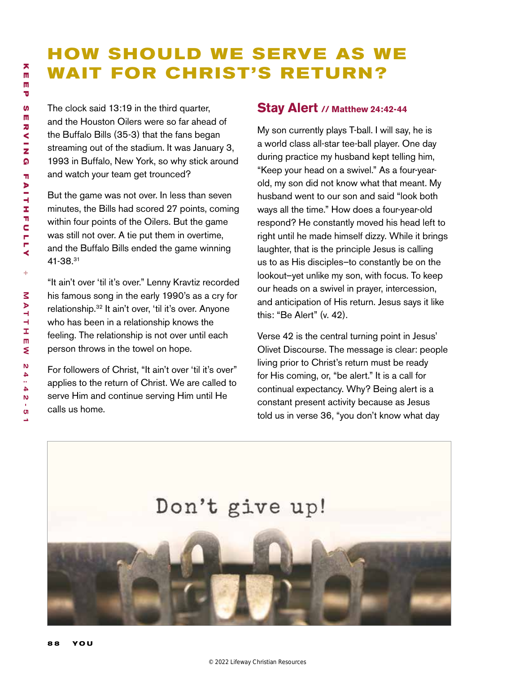## **HOW SHOULD WE SERVE AS WE WAIT FOR CHRIST'S RETURN?**

The clock said 13:19 in the third quarter, and the Houston Oilers were so far ahead of the Buffalo Bills (35-3) that the fans began streaming out of the stadium. It was January 3, 1993 in Buffalo, New York, so why stick around and watch your team get trounced?

But the game was not over. In less than seven minutes, the Bills had scored 27 points, coming within four points of the Oilers. But the game was still not over. A tie put them in overtime, and the Buffalo Bills ended the game winning 41-38.31

"It ain't over 'til it's over." Lenny Kravtiz recorded his famous song in the early 1990's as a cry for relationship.32 It ain't over, 'til it's over. Anyone who has been in a relationship knows the feeling. The relationship is not over until each person throws in the towel on hope.

For followers of Christ, "It ain't over 'til it's over" applies to the return of Christ. We are called to serve Him and continue serving Him until He calls us home.

### **Stay Alert // Matthew 24:42-44**

My son currently plays T-ball. I will say, he is a world class all-star tee-ball player. One day during practice my husband kept telling him, "Keep your head on a swivel." As a four-yearold, my son did not know what that meant. My husband went to our son and said "look both ways all the time." How does a four-year-old respond? He constantly moved his head left to right until he made himself dizzy. While it brings laughter, that is the principle Jesus is calling us to as His disciples–to constantly be on the lookout–yet unlike my son, with focus. To keep our heads on a swivel in prayer, intercession, and anticipation of His return. Jesus says it like this: "Be Alert" (v. 42).

Verse 42 is the central turning point in Jesus' Olivet Discourse. The message is clear: people living prior to Christ's return must be ready for His coming, or, "be alert." It is a call for continual expectancy. Why? Being alert is a constant present activity because as Jesus told us in verse 36, "you don't know what day

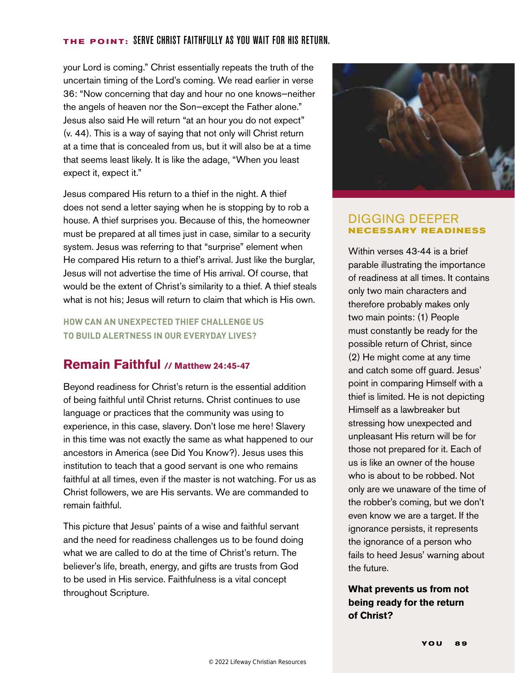### **THE POINT:** Serve christ faithfully as you wait for his return.

your Lord is coming." Christ essentially repeats the truth of the uncertain timing of the Lord's coming. We read earlier in verse 36: "Now concerning that day and hour no one knows—neither the angels of heaven nor the Son—except the Father alone." Jesus also said He will return "at an hour you do not expect" (v. 44). This is a way of saying that not only will Christ return at a time that is concealed from us, but it will also be at a time that seems least likely. It is like the adage, "When you least expect it, expect it."

Jesus compared His return to a thief in the night. A thief does not send a letter saying when he is stopping by to rob a house. A thief surprises you. Because of this, the homeowner must be prepared at all times just in case, similar to a security system. Jesus was referring to that "surprise" element when He compared His return to a thief's arrival. Just like the burglar, Jesus will not advertise the time of His arrival. Of course, that would be the extent of Christ's similarity to a thief. A thief steals what is not his; Jesus will return to claim that which is His own.

**HOW CAN AN UNEXPECTED THIEF CHALLENGE US TO BUILD ALERTNESS IN OUR EVERYDAY LIVES?**

### **Remain Faithful // Matthew 24:45-47**

Beyond readiness for Christ's return is the essential addition of being faithful until Christ returns. Christ continues to use language or practices that the community was using to experience, in this case, slavery. Don't lose me here! Slavery in this time was not exactly the same as what happened to our ancestors in America (see Did You Know?). Jesus uses this institution to teach that a good servant is one who remains faithful at all times, even if the master is not watching. For us as Christ followers, we are His servants. We are commanded to remain faithful.

This picture that Jesus' paints of a wise and faithful servant and the need for readiness challenges us to be found doing what we are called to do at the time of Christ's return. The believer's life, breath, energy, and gifts are trusts from God to be used in His service. Faithfulness is a vital concept throughout Scripture.



### DIGGING DEEPER **NECESSARY READINESS**

Within verses 43-44 is a brief parable illustrating the importance of readiness at all times. It contains only two main characters and therefore probably makes only two main points: (1) People must constantly be ready for the possible return of Christ, since (2) He might come at any time and catch some off guard. Jesus' point in comparing Himself with a thief is limited. He is not depicting Himself as a lawbreaker but stressing how unexpected and unpleasant His return will be for those not prepared for it. Each of us is like an owner of the house who is about to be robbed. Not only are we unaware of the time of the robber's coming, but we don't even know we are a target. If the ignorance persists, it represents the ignorance of a person who fails to heed Jesus' warning about the future.

### **What prevents us from not being ready for the return of Christ?**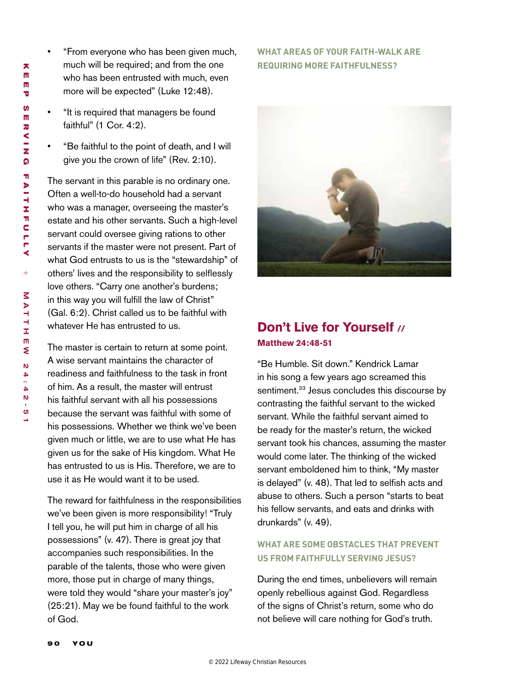m 而<br>而<br>で<br>の m Ū **S** m ERVING<br>F カくーて  $\Omega$ **aithfully +** M<br>A<br>コ thm ew24 : 42 -5د

**K**

- "From everyone who has been given much, much will be required; and from the one who has been entrusted with much, even more will be expected" (Luke 12:48).
- "It is required that managers be found faithful" (1 Cor. 4:2).
- "Be faithful to the point of death, and I will give you the crown of life" (Rev. 2:10).

The servant in this parable is no ordinary one. Often a well-to-do household had a servant who was a manager, overseeing the master's estate and his other servants. Such a high-level servant could oversee giving rations to other servants if the master were not present. Part of what God entrusts to us is the "stewardship" of others' lives and the responsibility to selflessly love others. "Carry one another's burdens; in this way you will fulfill the law of Christ" (Gal. 6:2). Christ called us to be faithful with whatever He has entrusted to us.

The master is certain to return at some point. A wise servant maintains the character of readiness and faithfulness to the task in front of him. As a result, the master will entrust his faithful servant with all his possessions because the servant was faithful with some of his possessions. Whether we think we've been given much or little, we are to use what He has given us for the sake of His kingdom. What He has entrusted to us is His. Therefore, we are to use it as He would want it to be used.

The reward for faithfulness in the responsibilities we've been given is more responsibility! "Truly I tell you, he will put him in charge of all his possessions" (v. 47). There is great joy that accompanies such responsibilities. In the parable of the talents, those who were given more, those put in charge of many things, were told they would "share your master's joy" (25:21). May we be found faithful to the work of God.

### **WHAT AREAS OF YOUR FAITH-WALK ARE REQUIRING MORE FAITHFULNESS?**



### **Don't Live for Yourself // Matthew 24:48-51**

"Be Humble. Sit down." Kendrick Lamar in his song a few years ago screamed this sentiment.<sup>33</sup> Jesus concludes this discourse by contrasting the faithful servant to the wicked servant. While the faithful servant aimed to be ready for the master's return, the wicked servant took his chances, assuming the master would come later. The thinking of the wicked servant emboldened him to think, "My master is delayed" (v. 48). That led to selfish acts and abuse to others. Such a person "starts to beat his fellow servants, and eats and drinks with drunkards" (v. 49).

### **WHAT ARE SOME OBSTACLES THAT PREVENT US FROM FAITHFULLY SERVING JESUS?**

During the end times, unbelievers will remain openly rebellious against God. Regardless of the signs of Christ's return, some who do not believe will care nothing for God's truth.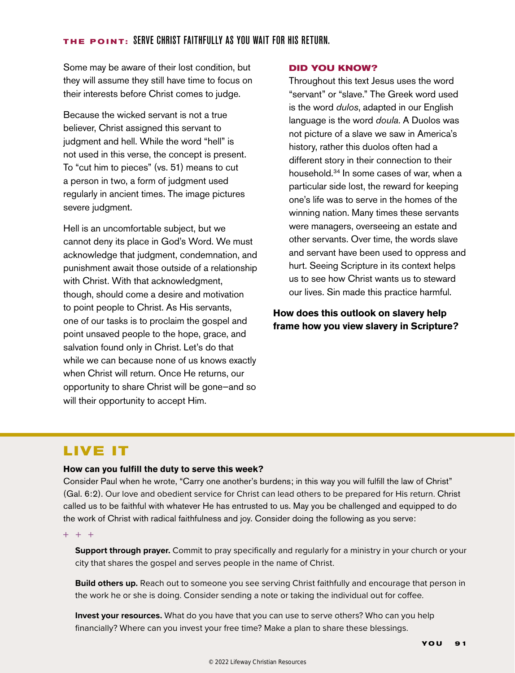### **THE POINT:** Serve christ faithfully as you wait for his return.

Some may be aware of their lost condition, but they will assume they still have time to focus on their interests before Christ comes to judge.

Because the wicked servant is not a true believer, Christ assigned this servant to judgment and hell. While the word "hell" is not used in this verse, the concept is present. To "cut him to pieces" (vs. 51) means to cut a person in two, a form of judgment used regularly in ancient times. The image pictures severe judgment.

Hell is an uncomfortable subject, but we cannot deny its place in God's Word. We must acknowledge that judgment, condemnation, and punishment await those outside of a relationship with Christ. With that acknowledgment, though, should come a desire and motivation to point people to Christ. As His servants, one of our tasks is to proclaim the gospel and point unsaved people to the hope, grace, and salvation found only in Christ. Let's do that while we can because none of us knows exactly when Christ will return. Once He returns, our opportunity to share Christ will be gone—and so will their opportunity to accept Him.

### **DID YOU KNOW?**

Throughout this text Jesus uses the word "servant" or "slave." The Greek word used is the word *dulos*, adapted in our English language is the word *doula*. A Duolos was not picture of a slave we saw in America's history, rather this duolos often had a different story in their connection to their household.34 In some cases of war, when a particular side lost, the reward for keeping one's life was to serve in the homes of the winning nation. Many times these servants were managers, overseeing an estate and other servants. Over time, the words slave and servant have been used to oppress and hurt. Seeing Scripture in its context helps us to see how Christ wants us to steward our lives. Sin made this practice harmful.

**How does this outlook on slavery help frame how you view slavery in Scripture?** 

### **LIVE IT**

### **How can you fulfill the duty to serve this week?**

Consider Paul when he wrote, "Carry one another's burdens; in this way you will fulfill the law of Christ" (Gal. 6:2). Our love and obedient service for Christ can lead others to be prepared for His return. Christ called us to be faithful with whatever He has entrusted to us. May you be challenged and equipped to do the work of Christ with radical faithfulness and joy. Consider doing the following as you serve:

 $+ + +$ 

**Support through prayer.** Commit to pray specifically and regularly for a ministry in your church or your city that shares the gospel and serves people in the name of Christ.

**Build others up.** Reach out to someone you see serving Christ faithfully and encourage that person in the work he or she is doing. Consider sending a note or taking the individual out for coffee.

**Invest your resources.** What do you have that you can use to serve others? Who can you help financially? Where can you invest your free time? Make a plan to share these blessings.